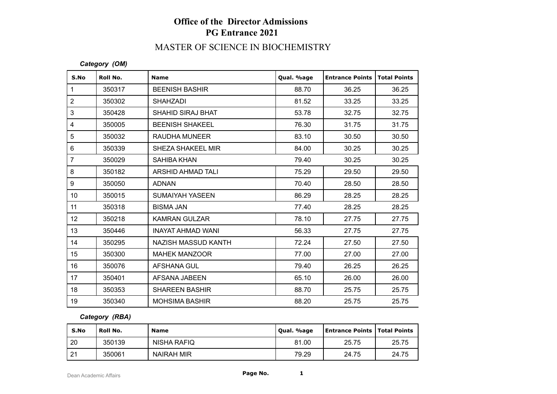# **Office of the Director Admissions PG Entrance 2021**

# MASTER OF SCIENCE IN BIOCHEMISTRY

*Category (OM)*

| S.No            | Roll No. | <b>Name</b>              | Qual. %age | <b>Entrance Points</b> | <b>Total Points</b> |
|-----------------|----------|--------------------------|------------|------------------------|---------------------|
| $\mathbf{1}$    | 350317   | <b>BEENISH BASHIR</b>    | 88.70      | 36.25                  | 36.25               |
| $\overline{2}$  | 350302   | <b>SHAHZADI</b>          | 81.52      | 33.25                  | 33.25               |
| $\mathbf{3}$    | 350428   | <b>SHAHID SIRAJ BHAT</b> | 53.78      | 32.75                  | 32.75               |
| $\overline{4}$  | 350005   | <b>BEENISH SHAKEEL</b>   | 76.30      | 31.75                  | 31.75               |
| $\overline{5}$  | 350032   | RAUDHA MUNEER            | 83.10      | 30.50                  | 30.50               |
| 6               | 350339   | <b>SHEZA SHAKEEL MIR</b> | 84.00      | 30.25                  | 30.25               |
| $\overline{7}$  | 350029   | <b>SAHIBA KHAN</b>       | 79.40      | 30.25                  | 30.25               |
| 8               | 350182   | ARSHID AHMAD TALI        | 75.29      | 29.50                  | 29.50               |
| 9               | 350050   | <b>ADNAN</b>             | 70.40      | 28.50                  | 28.50               |
| 10              | 350015   | <b>SUMAIYAH YASEEN</b>   | 86.29      | 28.25                  | 28.25               |
| 11              | 350318   | <b>BISMA JAN</b>         | 77.40      | 28.25                  | 28.25               |
| 12 <sup>°</sup> | 350218   | <b>KAMRAN GULZAR</b>     | 78.10      | 27.75                  | 27.75               |
| 13              | 350446   | <b>INAYAT AHMAD WANI</b> | 56.33      | 27.75                  | 27.75               |
| 14              | 350295   | NAZISH MASSUD KANTH      | 72.24      | 27.50                  | 27.50               |
| 15              | 350300   | <b>MAHEK MANZOOR</b>     | 77.00      | 27.00                  | 27.00               |
| 16              | 350076   | AFSHANA GUL              | 79.40      | 26.25                  | 26.25               |
| 17              | 350401   | AFSANA JABEEN            | 65.10      | 26.00                  | 26.00               |
| 18              | 350353   | <b>SHAREEN BASHIR</b>    | 88.70      | 25.75                  | 25.75               |
| 19              | 350340   | <b>MOHSIMA BASHIR</b>    | 88.20      | 25.75                  | 25.75               |

#### *Category (RBA)*

| S.No | Roll No. | <b>Name</b>       | Oual. %age | <b>Entrance Points   Total Points</b> |       |
|------|----------|-------------------|------------|---------------------------------------|-------|
| 20   | 350139   | NISHA RAFIQ       | 81.00      | 25.75                                 | 25.75 |
| 21   | 350061   | <b>NAIRAH MIR</b> | 79.29      | 24.75                                 | 24.75 |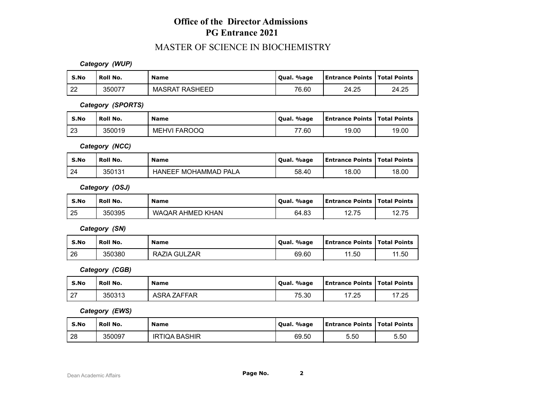### **Office of the Director Admissions PG Entrance 2021**

#### MASTER OF SCIENCE IN BIOCHEMISTRY

*Category (WUP)*

| S.No     | Roll No. | <b>Name</b>           | . %age<br>' Oual. | <b>Entrance Points   Total Points</b> |       |
|----------|----------|-----------------------|-------------------|---------------------------------------|-------|
| ററ<br>∠∠ | 350077   | <b>MASRAT RASHEED</b> | 76.60             | 24.25                                 | 24.25 |

*Category (SPORTS)*

| S.No | ' Roll No. | <b>Name</b>  | Qual. %age | <b>Entrance Points   Total Points</b> |       |
|------|------------|--------------|------------|---------------------------------------|-------|
| 123  | 350019     | MEHVI FAROOQ | 77.60      | 19.00                                 | 19.00 |

*Category (NCC)*

| S.No | <b>Roll No.</b> | <b>Name</b>                          | %age<br>Oual. | Entrance Points   Total Points |       |
|------|-----------------|--------------------------------------|---------------|--------------------------------|-------|
| 24   | 350131          | <sup>:</sup> MOHAMMAD PALA<br>HANEEF | 58.40         | 18.00                          | 18.00 |

*Category (OSJ)*

| S.No | <b>Roll No.</b> | <b>Name</b>      | Qual. %age | <b>Entrance Points   Total Points</b> |       |
|------|-----------------|------------------|------------|---------------------------------------|-------|
| 25   | 350395          | WAQAR AHMED KHAN | 64.83      | 12.75                                 | 12.75 |

*Category (SN)*

| S.No | Roll No. | <b>Name</b>  | Qual. %age | <b>Entrance Points   Total Points</b> |       |
|------|----------|--------------|------------|---------------------------------------|-------|
| 26   | 350380   | RAZIA GULZAR | 69.60      | 11.50                                 | 11.50 |

*Category (CGB)*

| S.No              | <b>Roll No.</b> | Name        | Oual. %age | <b>Entrance Points   Total Points</b> |       |
|-------------------|-----------------|-------------|------------|---------------------------------------|-------|
| ົດສ<br>$\epsilon$ | 350313          | ASRA ZAFFAR | 75.30      | 17.25                                 | 17.25 |

*Category (EWS)*

| S.No | <b>Roll No.</b> | <b>Name</b>          | . %age<br><b>Oual.</b> | <b>Entrance Points   Total Points</b> |      |
|------|-----------------|----------------------|------------------------|---------------------------------------|------|
| 28   | 350097          | <b>IRTIQA BASHIR</b> | 69.50                  | 5.50                                  | 5.50 |